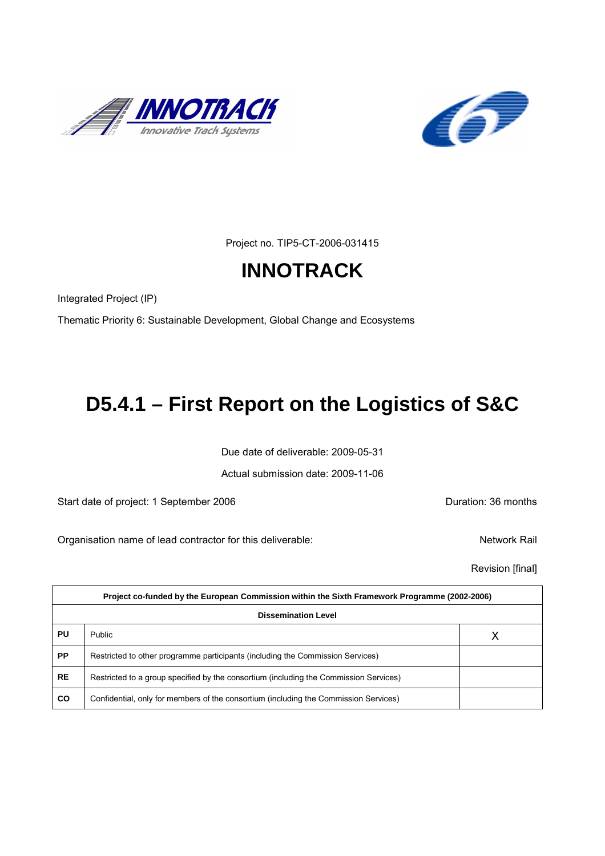



Project no. TIP5-CT-2006-031415

# **INNOTRACK**

Integrated Project (IP)

Thematic Priority 6: Sustainable Development, Global Change and Ecosystems

# **D5.4.1 – First Report on the Logistics of S&C**

Due date of deliverable: 2009-05-31

Actual submission date: 2009-11-06

Start date of project: 1 September 2006 **Duration: 36 months** 

Organisation name of lead contractor for this deliverable: Network Rail

Revision [final]

| Project co-funded by the European Commission within the Sixth Framework Programme (2002-2006) |                                                                                       |   |  |
|-----------------------------------------------------------------------------------------------|---------------------------------------------------------------------------------------|---|--|
| <b>Dissemination Level</b>                                                                    |                                                                                       |   |  |
| PU                                                                                            | Public                                                                                | Χ |  |
| <b>PP</b>                                                                                     | Restricted to other programme participants (including the Commission Services)        |   |  |
| <b>RE</b>                                                                                     | Restricted to a group specified by the consortium (including the Commission Services) |   |  |
| <b>CO</b>                                                                                     | Confidential, only for members of the consortium (including the Commission Services)  |   |  |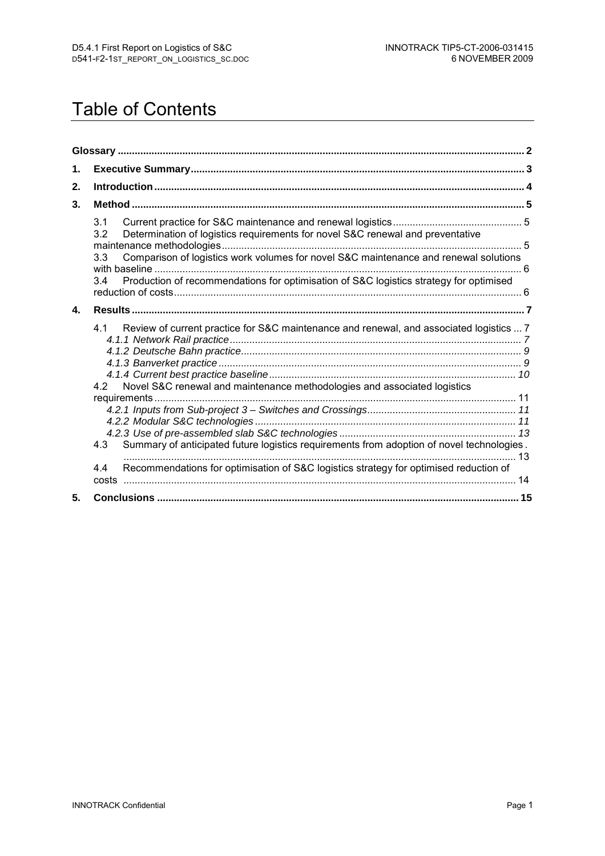# Table of Contents

| 1.           |                                                                                                                                                                                                                                                                                              |  |  |
|--------------|----------------------------------------------------------------------------------------------------------------------------------------------------------------------------------------------------------------------------------------------------------------------------------------------|--|--|
| 2.           |                                                                                                                                                                                                                                                                                              |  |  |
| 3.           |                                                                                                                                                                                                                                                                                              |  |  |
|              | 3.1<br>Determination of logistics requirements for novel S&C renewal and preventative<br>3.2<br>Comparison of logistics work volumes for novel S&C maintenance and renewal solutions<br>3.3<br>Production of recommendations for optimisation of S&C logistics strategy for optimised<br>3.4 |  |  |
| $\mathbf{4}$ |                                                                                                                                                                                                                                                                                              |  |  |
|              | Review of current practice for S&C maintenance and renewal, and associated logistics  7<br>4.1<br>4.2 Novel S&C renewal and maintenance methodologies and associated logistics<br>Summary of anticipated future logistics requirements from adoption of novel technologies.<br>4.3           |  |  |
|              | Recommendations for optimisation of S&C logistics strategy for optimised reduction of<br>4.4                                                                                                                                                                                                 |  |  |
| 5.           |                                                                                                                                                                                                                                                                                              |  |  |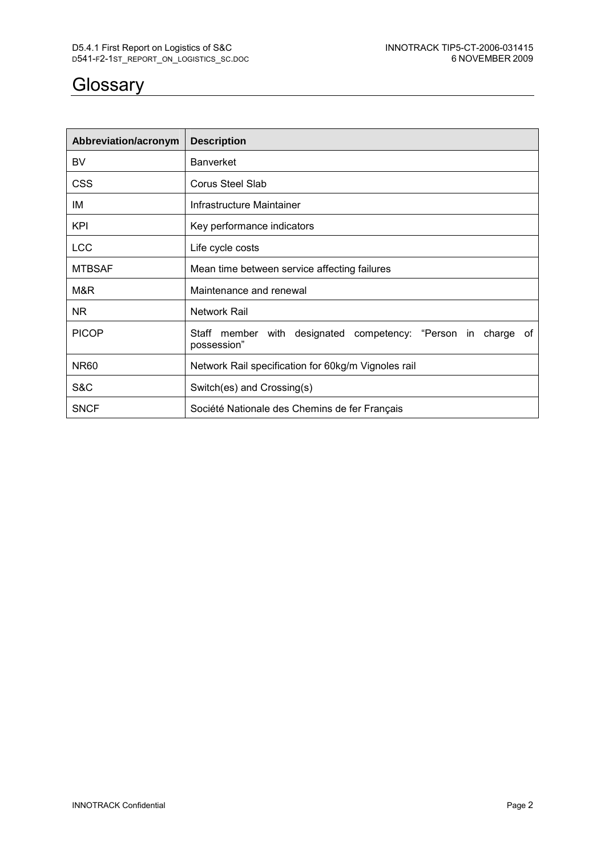# **Glossary**

| Abbreviation/acronym | <b>Description</b>                                                           |
|----------------------|------------------------------------------------------------------------------|
| BV                   | <b>Banverket</b>                                                             |
| <b>CSS</b>           | Corus Steel Slab                                                             |
| IM                   | Infrastructure Maintainer                                                    |
| KPI                  | Key performance indicators                                                   |
| <b>LCC</b>           | Life cycle costs                                                             |
| <b>MTBSAF</b>        | Mean time between service affecting failures                                 |
| M&R                  | Maintenance and renewal                                                      |
| ΝR                   | Network Rail                                                                 |
| <b>PICOP</b>         | Staff member with designated competency: "Person in charge of<br>possession" |
| <b>NR60</b>          | Network Rail specification for 60kg/m Vignoles rail                          |
| S&C                  | Switch(es) and Crossing(s)                                                   |
| <b>SNCF</b>          | Société Nationale des Chemins de fer Français                                |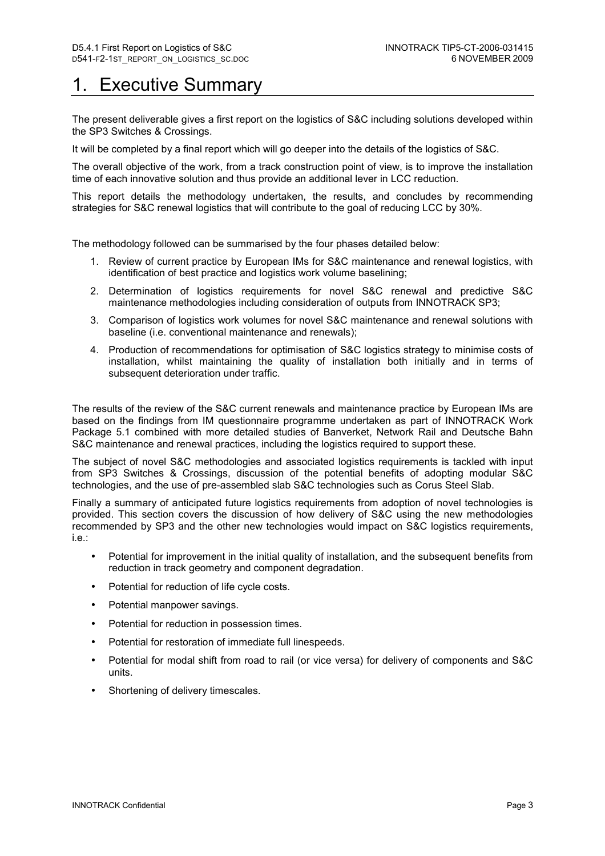# **Executive Summary**

The present deliverable gives a first report on the logistics of S&C including solutions developed within the SP3 Switches & Crossings.

It will be completed by a final report which will go deeper into the details of the logistics of S&C.

The overall objective of the work, from a track construction point of view, is to improve the installation time of each innovative solution and thus provide an additional lever in LCC reduction.

This report details the methodology undertaken, the results, and concludes by recommending strategies for S&C renewal logistics that will contribute to the goal of reducing LCC by 30%.

The methodology followed can be summarised by the four phases detailed below:

- 1. Review of current practice by European IMs for S&C maintenance and renewal logistics, with identification of best practice and logistics work volume baselining;
- 2. Determination of logistics requirements for novel S&C renewal and predictive S&C maintenance methodologies including consideration of outputs from INNOTRACK SP3;
- 3. Comparison of logistics work volumes for novel S&C maintenance and renewal solutions with baseline (i.e. conventional maintenance and renewals);
- 4. Production of recommendations for optimisation of S&C logistics strategy to minimise costs of installation, whilst maintaining the quality of installation both initially and in terms of subsequent deterioration under traffic.

The results of the review of the S&C current renewals and maintenance practice by European IMs are based on the findings from IM questionnaire programme undertaken as part of INNOTRACK Work Package 5.1 combined with more detailed studies of Banverket, Network Rail and Deutsche Bahn S&C maintenance and renewal practices, including the logistics required to support these.

The subject of novel S&C methodologies and associated logistics requirements is tackled with input from SP3 Switches & Crossings, discussion of the potential benefits of adopting modular S&C technologies, and the use of pre-assembled slab S&C technologies such as Corus Steel Slab.

Finally a summary of anticipated future logistics requirements from adoption of novel technologies is provided. This section covers the discussion of how delivery of S&C using the new methodologies recommended by SP3 and the other new technologies would impact on S&C logistics requirements, i.e.:

- Potential for improvement in the initial quality of installation, and the subsequent benefits from reduction in track geometry and component degradation.
- Potential for reduction of life cycle costs.
- Potential manpower savings.
- Potential for reduction in possession times.
- Potential for restoration of immediate full linespeeds.
- Potential for modal shift from road to rail (or vice versa) for delivery of components and S&C units.
- Shortening of delivery timescales.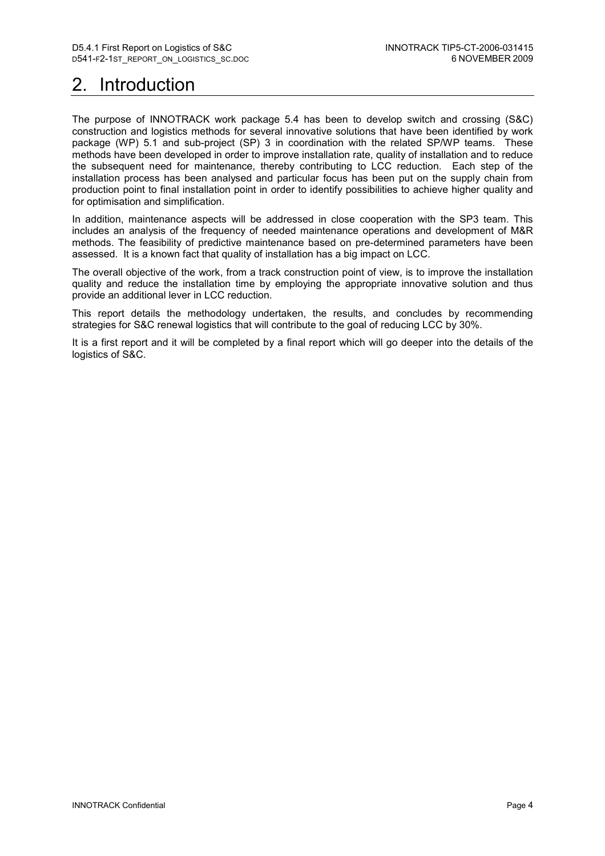# 2. Introduction

The purpose of INNOTRACK work package 5.4 has been to develop switch and crossing (S&C) construction and logistics methods for several innovative solutions that have been identified by work package (WP) 5.1 and sub-project (SP) 3 in coordination with the related SP/WP teams. These methods have been developed in order to improve installation rate, quality of installation and to reduce the subsequent need for maintenance, thereby contributing to LCC reduction. Each step of the installation process has been analysed and particular focus has been put on the supply chain from production point to final installation point in order to identify possibilities to achieve higher quality and for optimisation and simplification.

In addition, maintenance aspects will be addressed in close cooperation with the SP3 team. This includes an analysis of the frequency of needed maintenance operations and development of M&R methods. The feasibility of predictive maintenance based on pre-determined parameters have been assessed. It is a known fact that quality of installation has a big impact on LCC.

The overall objective of the work, from a track construction point of view, is to improve the installation quality and reduce the installation time by employing the appropriate innovative solution and thus provide an additional lever in LCC reduction.

This report details the methodology undertaken, the results, and concludes by recommending strategies for S&C renewal logistics that will contribute to the goal of reducing LCC by 30%.

It is a first report and it will be completed by a final report which will go deeper into the details of the logistics of S&C.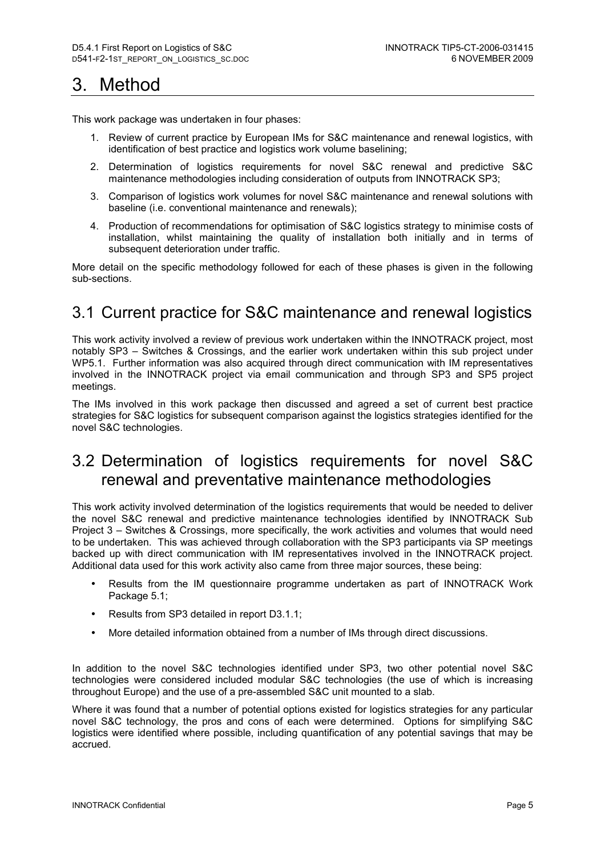# 3. Method

This work package was undertaken in four phases:

- 1. Review of current practice by European IMs for S&C maintenance and renewal logistics, with identification of best practice and logistics work volume baselining:
- 2. Determination of logistics requirements for novel S&C renewal and predictive S&C maintenance methodologies including consideration of outputs from INNOTRACK SP3;
- 3. Comparison of logistics work volumes for novel S&C maintenance and renewal solutions with baseline (i.e. conventional maintenance and renewals);
- 4. Production of recommendations for optimisation of S&C logistics strategy to minimise costs of installation, whilst maintaining the quality of installation both initially and in terms of subsequent deterioration under traffic.

More detail on the specific methodology followed for each of these phases is given in the following sub-sections.

## 3.1 Current practice for S&C maintenance and renewal logistics

This work activity involved a review of previous work undertaken within the INNOTRACK project, most notably SP3 – Switches & Crossings, and the earlier work undertaken within this sub project under WP5.1. Further information was also acquired through direct communication with IM representatives involved in the INNOTRACK project via email communication and through SP3 and SP5 project meetings.

The IMs involved in this work package then discussed and agreed a set of current best practice strategies for S&C logistics for subsequent comparison against the logistics strategies identified for the novel S&C technologies.

## 3.2 Determination of logistics requirements for novel S&C renewal and preventative maintenance methodologies

This work activity involved determination of the logistics requirements that would be needed to deliver the novel S&C renewal and predictive maintenance technologies identified by INNOTRACK Sub Project 3 – Switches & Crossings, more specifically, the work activities and volumes that would need to be undertaken. This was achieved through collaboration with the SP3 participants via SP meetings backed up with direct communication with IM representatives involved in the INNOTRACK project. Additional data used for this work activity also came from three major sources, these being:

- Results from the IM questionnaire programme undertaken as part of INNOTRACK Work Package 5.1:
- Results from SP3 detailed in report D3.1.1;
- More detailed information obtained from a number of IMs through direct discussions.

In addition to the novel S&C technologies identified under SP3, two other potential novel S&C technologies were considered included modular S&C technologies (the use of which is increasing throughout Europe) and the use of a pre-assembled S&C unit mounted to a slab.

Where it was found that a number of potential options existed for logistics strategies for any particular novel S&C technology, the pros and cons of each were determined. Options for simplifying S&C logistics were identified where possible, including quantification of any potential savings that may be accrued.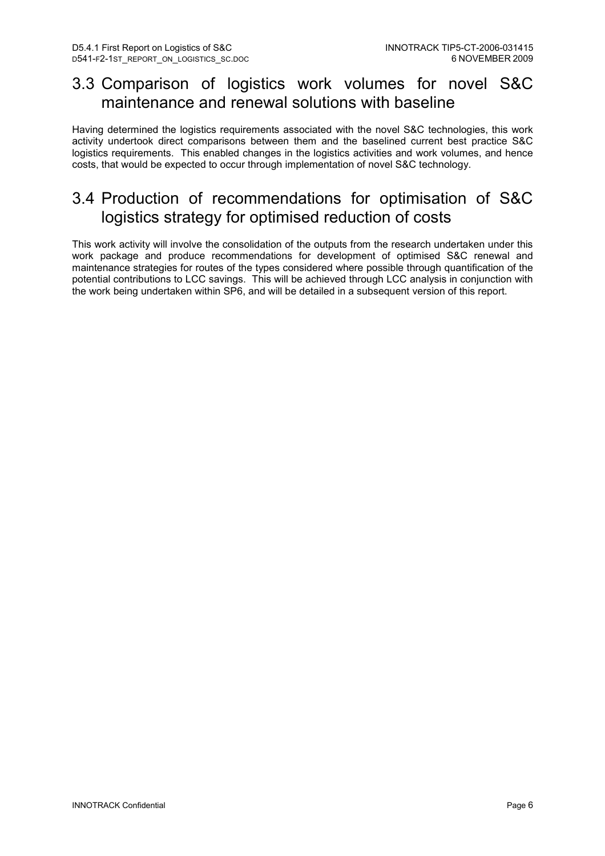## 3.3 Comparison of logistics work volumes for novel S&C maintenance and renewal solutions with baseline

Having determined the logistics requirements associated with the novel S&C technologies, this work activity undertook direct comparisons between them and the baselined current best practice S&C logistics requirements. This enabled changes in the logistics activities and work volumes, and hence costs, that would be expected to occur through implementation of novel S&C technology.

## 3.4 Production of recommendations for optimisation of S&C logistics strategy for optimised reduction of costs

This work activity will involve the consolidation of the outputs from the research undertaken under this work package and produce recommendations for development of optimised S&C renewal and maintenance strategies for routes of the types considered where possible through quantification of the potential contributions to LCC savings. This will be achieved through LCC analysis in conjunction with the work being undertaken within SP6, and will be detailed in a subsequent version of this report.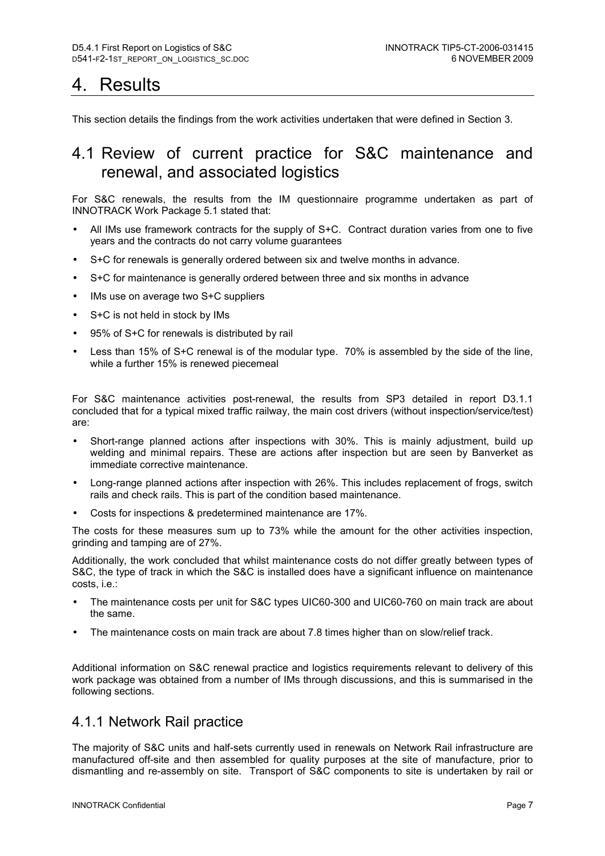# 4. Results

This section details the findings from the work activities undertaken that were defined in Section 3.

## 4.1 Review of current practice for S&C maintenance and renewal, and associated logistics

For S&C renewals, the results from the IM questionnaire programme undertaken as part of INNOTRACK Work Package 5.1 stated that:

- All IMs use framework contracts for the supply of S+C. Contract duration varies from one to five years and the contracts do not carry volume guarantees
- S+C for renewals is generally ordered between six and twelve months in advance.
- S+C for maintenance is generally ordered between three and six months in advance
- IMs use on average two S+C suppliers
- S+C is not held in stock by IMs
- 95% of S+C for renewals is distributed by rail
- Less than 15% of S+C renewal is of the modular type. 70% is assembled by the side of the line. while a further 15% is renewed piecemeal

For S&C maintenance activities post-renewal, the results from SP3 detailed in report D3.1.1 concluded that for a typical mixed traffic railway, the main cost drivers (without inspection/service/test) are:

- Short-range planned actions after inspections with 30%. This is mainly adjustment, build up welding and minimal repairs. These are actions after inspection but are seen by Banverket as immediate corrective maintenance.
- Long-range planned actions after inspection with 26%. This includes replacement of frogs, switch rails and check rails. This is part of the condition based maintenance.
- Costs for inspections & predetermined maintenance are 17%.

The costs for these measures sum up to 73% while the amount for the other activities inspection, grinding and tamping are of 27%.

Additionally, the work concluded that whilst maintenance costs do not differ greatly between types of S&C, the type of track in which the S&C is installed does have a significant influence on maintenance costs, i.e.:

- The maintenance costs per unit for S&C types UIC60-300 and UIC60-760 on main track are about the same.
- The maintenance costs on main track are about 7.8 times higher than on slow/relief track.

Additional information on S&C renewal practice and logistics requirements relevant to delivery of this work package was obtained from a number of IMs through discussions, and this is summarised in the following sections.

### 4.1.1 Network Rail practice

The majority of S&C units and half-sets currently used in renewals on Network Rail infrastructure are manufactured off-site and then assembled for quality purposes at the site of manufacture, prior to dismantling and re-assembly on site. Transport of S&C components to site is undertaken by rail or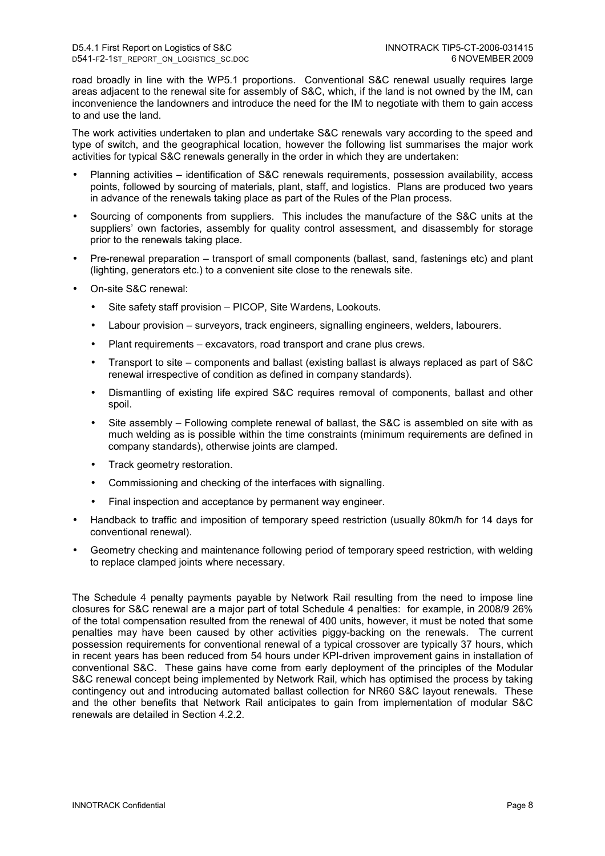road broadly in line with the WP5.1 proportions. Conventional S&C renewal usually requires large areas adjacent to the renewal site for assembly of S&C, which, if the land is not owned by the IM, can inconvenience the landowners and introduce the need for the IM to negotiate with them to gain access to and use the land.

The work activities undertaken to plan and undertake S&C renewals vary according to the speed and type of switch, and the geographical location, however the following list summarises the major work activities for typical S&C renewals generally in the order in which they are undertaken:

- Planning activities identification of S&C renewals requirements, possession availability, access points, followed by sourcing of materials, plant, staff, and logistics. Plans are produced two years in advance of the renewals taking place as part of the Rules of the Plan process.
- Sourcing of components from suppliers. This includes the manufacture of the S&C units at the suppliers' own factories, assembly for quality control assessment, and disassembly for storage prior to the renewals taking place.
- Pre-renewal preparation transport of small components (ballast, sand, fastenings etc) and plant (lighting, generators etc.) to a convenient site close to the renewals site.
- On-site S&C renewal:
	- Site safety staff provision PICOP, Site Wardens, Lookouts.
	- Labour provision surveyors, track engineers, signalling engineers, welders, labourers.
	- Plant requirements excavators, road transport and crane plus crews.
	- Transport to site components and ballast (existing ballast is always replaced as part of S&C renewal irrespective of condition as defined in company standards).
	- Dismantling of existing life expired S&C requires removal of components, ballast and other spoil.
	- Site assembly Following complete renewal of ballast, the S&C is assembled on site with as much welding as is possible within the time constraints (minimum requirements are defined in company standards), otherwise joints are clamped.
	- Track geometry restoration.
	- Commissioning and checking of the interfaces with signalling.
	- Final inspection and acceptance by permanent way engineer.
- Handback to traffic and imposition of temporary speed restriction (usually 80km/h for 14 days for conventional renewal).
- Geometry checking and maintenance following period of temporary speed restriction, with welding to replace clamped joints where necessary.

The Schedule 4 penalty payments payable by Network Rail resulting from the need to impose line closures for S&C renewal are a major part of total Schedule 4 penalties: for example, in 2008/9 26% of the total compensation resulted from the renewal of 400 units, however, it must be noted that some penalties may have been caused by other activities piggy-backing on the renewals. The current possession requirements for conventional renewal of a typical crossover are typically 37 hours, which in recent years has been reduced from 54 hours under KPI-driven improvement gains in installation of conventional S&C. These gains have come from early deployment of the principles of the Modular S&C renewal concept being implemented by Network Rail, which has optimised the process by taking contingency out and introducing automated ballast collection for NR60 S&C layout renewals. These and the other benefits that Network Rail anticipates to gain from implementation of modular S&C renewals are detailed in Section 4.2.2.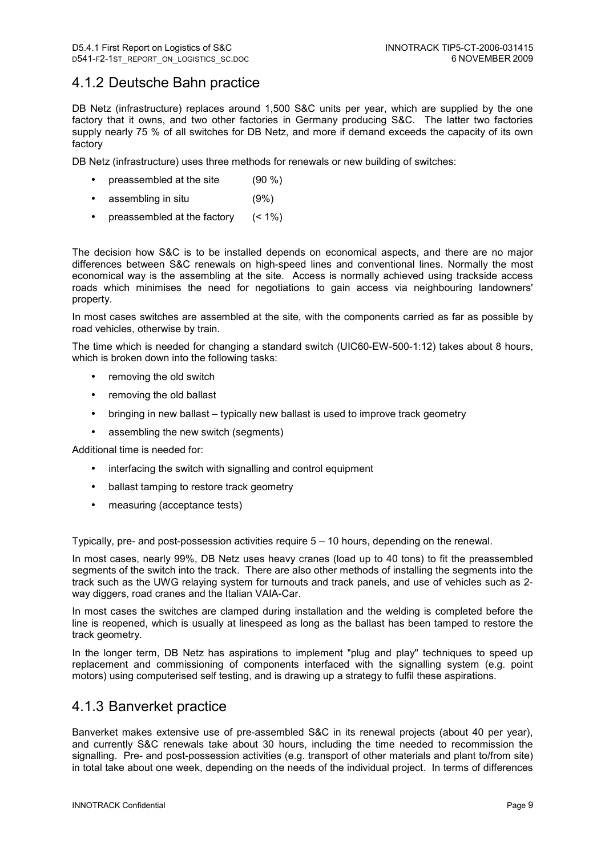### 4.1.2 Deutsche Bahn practice

DB Netz (infrastructure) replaces around 1,500 S&C units per year, which are supplied by the one factory that it owns, and two other factories in Germany producing S&C. The latter two factories supply nearly 75 % of all switches for DB Netz, and more if demand exceeds the capacity of its own factory

DB Netz (infrastructure) uses three methods for renewals or new building of switches:

- preassembled at the site (90 %)
- assembling in situ (9%)
- preassembled at the factory  $($  < 1%)

The decision how S&C is to be installed depends on economical aspects, and there are no major differences between S&C renewals on high-speed lines and conventional lines. Normally the most economical way is the assembling at the site. Access is normally achieved using trackside access roads which minimises the need for negotiations to gain access via neighbouring landowners' property.

In most cases switches are assembled at the site, with the components carried as far as possible by road vehicles, otherwise by train.

The time which is needed for changing a standard switch (UIC60-EW-500-1:12) takes about 8 hours, which is broken down into the following tasks:

- removing the old switch
- removing the old ballast
- bringing in new ballast typically new ballast is used to improve track geometry
- assembling the new switch (segments)

Additional time is needed for:

- interfacing the switch with signalling and control equipment
- ballast tamping to restore track geometry
- measuring (acceptance tests)

Typically, pre- and post-possession activities require 5 – 10 hours, depending on the renewal.

In most cases, nearly 99%, DB Netz uses heavy cranes (load up to 40 tons) to fit the preassembled segments of the switch into the track. There are also other methods of installing the segments into the track such as the UWG relaying system for turnouts and track panels, and use of vehicles such as 2 way diggers, road cranes and the Italian VAIA-Car.

In most cases the switches are clamped during installation and the welding is completed before the line is reopened, which is usually at linespeed as long as the ballast has been tamped to restore the track geometry.

In the longer term, DB Netz has aspirations to implement "plug and play" techniques to speed up replacement and commissioning of components interfaced with the signalling system (e.g. point motors) using computerised self testing, and is drawing up a strategy to fulfil these aspirations.

### 4.1.3 Banverket practice

Banverket makes extensive use of pre-assembled S&C in its renewal projects (about 40 per year), and currently S&C renewals take about 30 hours, including the time needed to recommission the signalling. Pre- and post-possession activities (e.g. transport of other materials and plant to/from site) in total take about one week, depending on the needs of the individual project. In terms of differences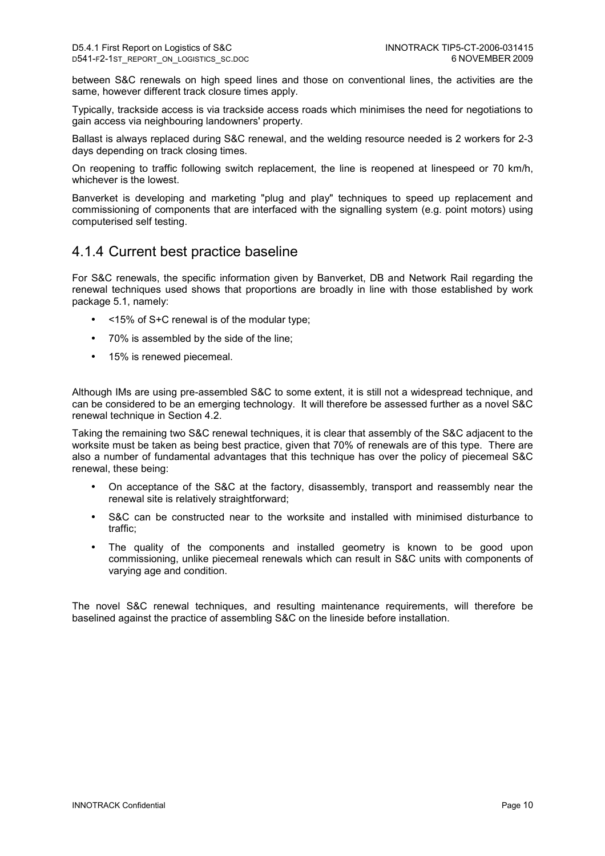between S&C renewals on high speed lines and those on conventional lines, the activities are the same, however different track closure times apply.

Typically, trackside access is via trackside access roads which minimises the need for negotiations to gain access via neighbouring landowners' property.

Ballast is always replaced during S&C renewal, and the welding resource needed is 2 workers for 2-3 days depending on track closing times.

On reopening to traffic following switch replacement, the line is reopened at linespeed or 70 km/h, whichever is the lowest.

Banverket is developing and marketing "plug and play" techniques to speed up replacement and commissioning of components that are interfaced with the signalling system (e.g. point motors) using computerised self testing.

### 4.1.4 Current best practice baseline

For S&C renewals, the specific information given by Banverket, DB and Network Rail regarding the renewal techniques used shows that proportions are broadly in line with those established by work package 5.1, namely:

- <15% of S+C renewal is of the modular type;
- 70% is assembled by the side of the line;
- 15% is renewed piecemeal.

Although IMs are using pre-assembled S&C to some extent, it is still not a widespread technique, and can be considered to be an emerging technology. It will therefore be assessed further as a novel S&C renewal technique in Section 4.2.

Taking the remaining two S&C renewal techniques, it is clear that assembly of the S&C adjacent to the worksite must be taken as being best practice, given that 70% of renewals are of this type. There are also a number of fundamental advantages that this technique has over the policy of piecemeal S&C renewal, these being:

- On acceptance of the S&C at the factory, disassembly, transport and reassembly near the renewal site is relatively straightforward;
- S&C can be constructed near to the worksite and installed with minimised disturbance to traffic;
- The quality of the components and installed geometry is known to be good upon commissioning, unlike piecemeal renewals which can result in S&C units with components of varying age and condition.

The novel S&C renewal techniques, and resulting maintenance requirements, will therefore be baselined against the practice of assembling S&C on the lineside before installation.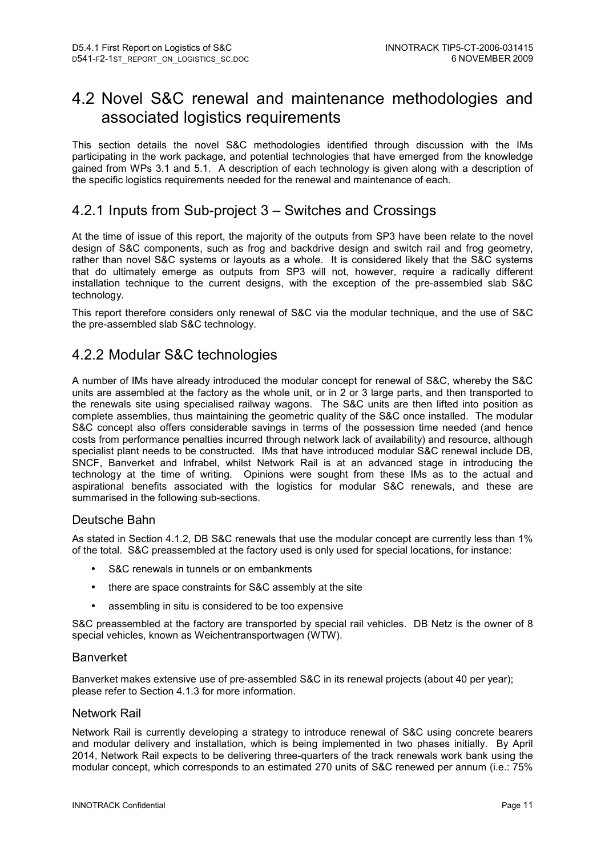## 4.2 Novel S&C renewal and maintenance methodologies and associated logistics requirements

This section details the novel S&C methodologies identified through discussion with the IMs participating in the work package, and potential technologies that have emerged from the knowledge gained from WPs 3.1 and 5.1. A description of each technology is given along with a description of the specific logistics requirements needed for the renewal and maintenance of each.

### 4.2.1 Inputs from Sub-project 3 – Switches and Crossings

At the time of issue of this report, the majority of the outputs from SP3 have been relate to the novel design of S&C components, such as frog and backdrive design and switch rail and frog geometry, rather than novel S&C systems or layouts as a whole. It is considered likely that the S&C systems that do ultimately emerge as outputs from SP3 will not, however, require a radically different installation technique to the current designs, with the exception of the pre-assembled slab S&C technology.

This report therefore considers only renewal of S&C via the modular technique, and the use of S&C the pre-assembled slab S&C technology.

### 4.2.2 Modular S&C technologies

A number of IMs have already introduced the modular concept for renewal of S&C, whereby the S&C units are assembled at the factory as the whole unit, or in 2 or 3 large parts, and then transported to the renewals site using specialised railway wagons. The S&C units are then lifted into position as complete assemblies, thus maintaining the geometric quality of the S&C once installed. The modular S&C concept also offers considerable savings in terms of the possession time needed (and hence costs from performance penalties incurred through network lack of availability) and resource, although specialist plant needs to be constructed. IMs that have introduced modular S&C renewal include DB, SNCF, Banverket and Infrabel, whilst Network Rail is at an advanced stage in introducing the technology at the time of writing. Opinions were sought from these IMs as to the actual and aspirational benefits associated with the logistics for modular S&C renewals, and these are summarised in the following sub-sections.

#### Deutsche Bahn

As stated in Section 4.1.2, DB S&C renewals that use the modular concept are currently less than 1% of the total. S&C preassembled at the factory used is only used for special locations, for instance:

- S&C renewals in tunnels or on embankments
- there are space constraints for S&C assembly at the site
- assembling in situ is considered to be too expensive

S&C preassembled at the factory are transported by special rail vehicles. DB Netz is the owner of 8 special vehicles, known as Weichentransportwagen (WTW).

#### Banverket

Banverket makes extensive use of pre-assembled S&C in its renewal projects (about 40 per year); please refer to Section 4.1.3 for more information.

#### Network Rail

Network Rail is currently developing a strategy to introduce renewal of S&C using concrete bearers and modular delivery and installation, which is being implemented in two phases initially. By April 2014, Network Rail expects to be delivering three-quarters of the track renewals work bank using the modular concept, which corresponds to an estimated 270 units of S&C renewed per annum (i.e.: 75%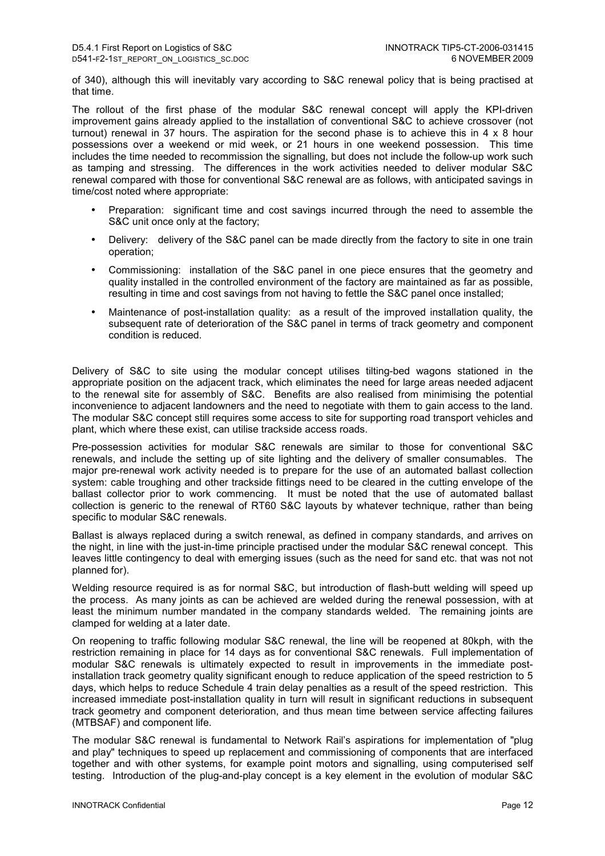of 340), although this will inevitably vary according to S&C renewal policy that is being practised at that time.

The rollout of the first phase of the modular S&C renewal concept will apply the KPI-driven improvement gains already applied to the installation of conventional S&C to achieve crossover (not turnout) renewal in 37 hours. The aspiration for the second phase is to achieve this in 4 x 8 hour possessions over a weekend or mid week, or 21 hours in one weekend possession. This time includes the time needed to recommission the signalling, but does not include the follow-up work such as tamping and stressing. The differences in the work activities needed to deliver modular S&C renewal compared with those for conventional S&C renewal are as follows, with anticipated savings in time/cost noted where appropriate:

- Preparation: significant time and cost savings incurred through the need to assemble the S&C unit once only at the factory:
- Delivery: delivery of the S&C panel can be made directly from the factory to site in one train operation;
- Commissioning: installation of the S&C panel in one piece ensures that the geometry and quality installed in the controlled environment of the factory are maintained as far as possible, resulting in time and cost savings from not having to fettle the S&C panel once installed;
- Maintenance of post-installation quality: as a result of the improved installation quality, the subsequent rate of deterioration of the S&C panel in terms of track geometry and component condition is reduced.

Delivery of S&C to site using the modular concept utilises tilting-bed wagons stationed in the appropriate position on the adjacent track, which eliminates the need for large areas needed adjacent to the renewal site for assembly of S&C. Benefits are also realised from minimising the potential inconvenience to adjacent landowners and the need to negotiate with them to gain access to the land. The modular S&C concept still requires some access to site for supporting road transport vehicles and plant, which where these exist, can utilise trackside access roads.

Pre-possession activities for modular S&C renewals are similar to those for conventional S&C renewals, and include the setting up of site lighting and the delivery of smaller consumables. The major pre-renewal work activity needed is to prepare for the use of an automated ballast collection system: cable troughing and other trackside fittings need to be cleared in the cutting envelope of the ballast collector prior to work commencing. It must be noted that the use of automated ballast collection is generic to the renewal of RT60 S&C layouts by whatever technique, rather than being specific to modular S&C renewals.

Ballast is always replaced during a switch renewal, as defined in company standards, and arrives on the night, in line with the just-in-time principle practised under the modular S&C renewal concept. This leaves little contingency to deal with emerging issues (such as the need for sand etc. that was not not planned for).

Welding resource required is as for normal S&C, but introduction of flash-butt welding will speed up the process. As many joints as can be achieved are welded during the renewal possession, with at least the minimum number mandated in the company standards welded. The remaining joints are clamped for welding at a later date.

On reopening to traffic following modular S&C renewal, the line will be reopened at 80kph, with the restriction remaining in place for 14 days as for conventional S&C renewals. Full implementation of modular S&C renewals is ultimately expected to result in improvements in the immediate postinstallation track geometry quality significant enough to reduce application of the speed restriction to 5 days, which helps to reduce Schedule 4 train delay penalties as a result of the speed restriction. This increased immediate post-installation quality in turn will result in significant reductions in subsequent track geometry and component deterioration, and thus mean time between service affecting failures (MTBSAF) and component life.

The modular S&C renewal is fundamental to Network Rail's aspirations for implementation of "plug and play" techniques to speed up replacement and commissioning of components that are interfaced together and with other systems, for example point motors and signalling, using computerised self testing. Introduction of the plug-and-play concept is a key element in the evolution of modular S&C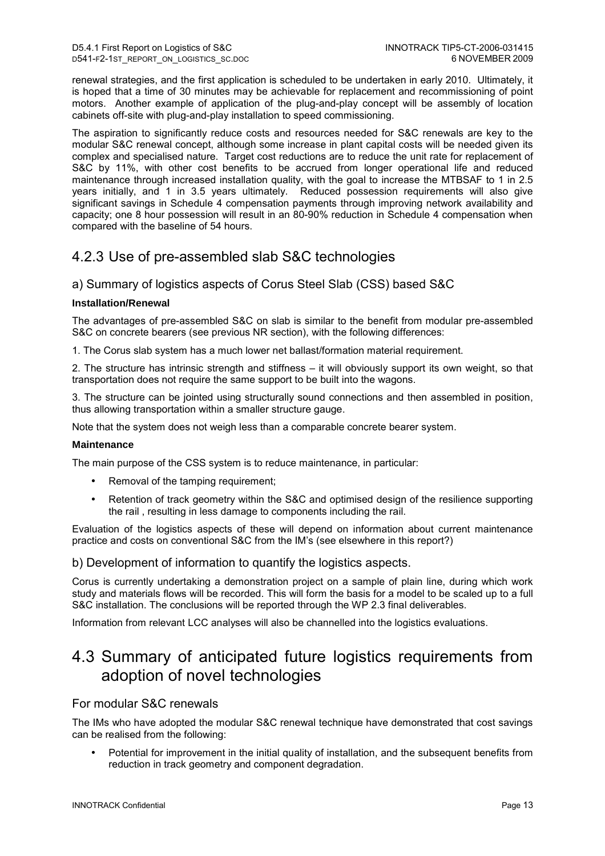renewal strategies, and the first application is scheduled to be undertaken in early 2010. Ultimately, it is hoped that a time of 30 minutes may be achievable for replacement and recommissioning of point motors. Another example of application of the plug-and-play concept will be assembly of location cabinets off-site with plug-and-play installation to speed commissioning.

The aspiration to significantly reduce costs and resources needed for S&C renewals are key to the modular S&C renewal concept, although some increase in plant capital costs will be needed given its complex and specialised nature. Target cost reductions are to reduce the unit rate for replacement of S&C by 11%, with other cost benefits to be accrued from longer operational life and reduced maintenance through increased installation quality, with the goal to increase the MTBSAF to 1 in 2.5 years initially, and 1 in 3.5 years ultimately. Reduced possession requirements will also give significant savings in Schedule 4 compensation payments through improving network availability and capacity; one 8 hour possession will result in an 80-90% reduction in Schedule 4 compensation when compared with the baseline of 54 hours.

## 4.2.3 Use of pre-assembled slab S&C technologies

### a) Summary of logistics aspects of Corus Steel Slab (CSS) based S&C

#### **Installation/Renewal**

The advantages of pre-assembled S&C on slab is similar to the benefit from modular pre-assembled S&C on concrete bearers (see previous NR section), with the following differences:

1. The Corus slab system has a much lower net ballast/formation material requirement.

2. The structure has intrinsic strength and stiffness – it will obviously support its own weight, so that transportation does not require the same support to be built into the wagons.

3. The structure can be jointed using structurally sound connections and then assembled in position, thus allowing transportation within a smaller structure gauge.

Note that the system does not weigh less than a comparable concrete bearer system.

#### **Maintenance**

The main purpose of the CSS system is to reduce maintenance, in particular:

- Removal of the tamping requirement;
- Retention of track geometry within the S&C and optimised design of the resilience supporting the rail , resulting in less damage to components including the rail.

Evaluation of the logistics aspects of these will depend on information about current maintenance practice and costs on conventional S&C from the IM's (see elsewhere in this report?)

#### b) Development of information to quantify the logistics aspects.

Corus is currently undertaking a demonstration project on a sample of plain line, during which work study and materials flows will be recorded. This will form the basis for a model to be scaled up to a full S&C installation. The conclusions will be reported through the WP 2.3 final deliverables.

Information from relevant LCC analyses will also be channelled into the logistics evaluations.

## 4.3 Summary of anticipated future logistics requirements from adoption of novel technologies

### For modular S&C renewals

The IMs who have adopted the modular S&C renewal technique have demonstrated that cost savings can be realised from the following:

• Potential for improvement in the initial quality of installation, and the subsequent benefits from reduction in track geometry and component degradation.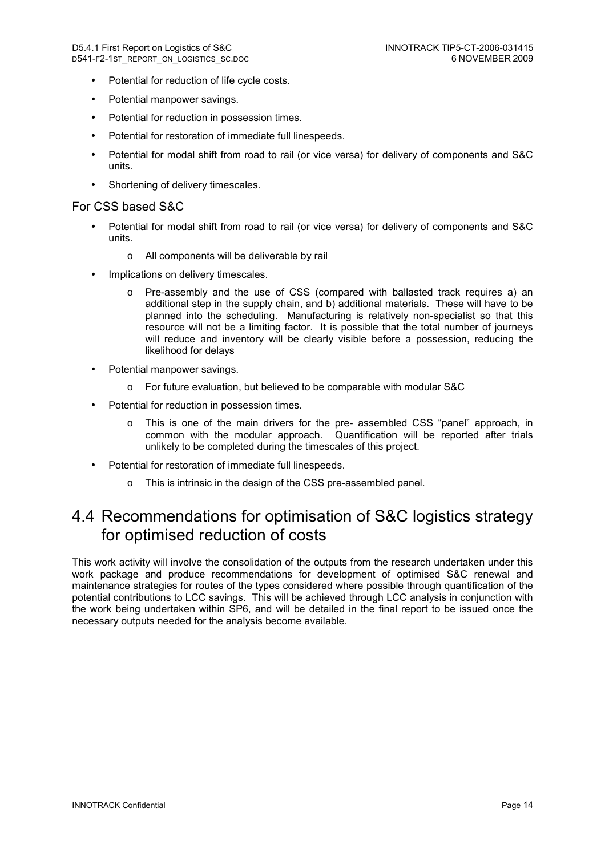- Potential for reduction of life cycle costs.
- Potential manpower savings.
- Potential for reduction in possession times.
- Potential for restoration of immediate full linespeeds.
- Potential for modal shift from road to rail (or vice versa) for delivery of components and S&C units.
- Shortening of delivery timescales.

#### For CSS based S&C

- Potential for modal shift from road to rail (or vice versa) for delivery of components and S&C units.
	- o All components will be deliverable by rail
- Implications on delivery timescales.
	- o Pre-assembly and the use of CSS (compared with ballasted track requires a) an additional step in the supply chain, and b) additional materials. These will have to be planned into the scheduling. Manufacturing is relatively non-specialist so that this resource will not be a limiting factor. It is possible that the total number of journeys will reduce and inventory will be clearly visible before a possession, reducing the likelihood for delays
- Potential manpower savings.
	- o For future evaluation, but believed to be comparable with modular S&C
- Potential for reduction in possession times.
	- o This is one of the main drivers for the pre- assembled CSS "panel" approach, in common with the modular approach. Quantification will be reported after trials unlikely to be completed during the timescales of this project.
- Potential for restoration of immediate full linespeeds.
	- o This is intrinsic in the design of the CSS pre-assembled panel.

## 4.4 Recommendations for optimisation of S&C logistics strategy for optimised reduction of costs

This work activity will involve the consolidation of the outputs from the research undertaken under this work package and produce recommendations for development of optimised S&C renewal and maintenance strategies for routes of the types considered where possible through quantification of the potential contributions to LCC savings. This will be achieved through LCC analysis in conjunction with the work being undertaken within SP6, and will be detailed in the final report to be issued once the necessary outputs needed for the analysis become available.